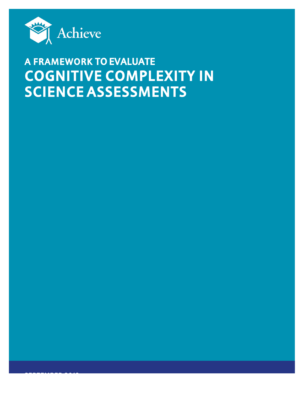

# **A FRAMEWORK TO EVALUATE COGNITIVE COMPLEXITY IN SCIENCE ASSESSMENTS**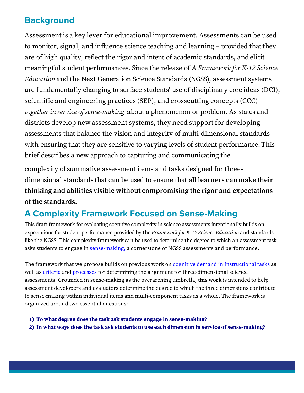# **Background**

Assessment is a key lever for educational improvement. Assessments can be used to monitor, signal, and influence science teaching and learning – provided that they are of high quality, reflect the rigor and intent of academic standards, and elicit meaningful student performances. Since the release of A Framework for K-12 Science Education and the Next Generation Science Standards (NGSS), assessment systems are fundamentally changing to surface students' use of disciplinary core ideas (DCI), scientific and engineering practices (SEP), and crosscutting concepts (CCC) together in service of sense-making about a phenomenon or problem. As states and districts develop new assessment systems, they need support for developing assessments that balance the vision and integrity of multi-dimensional standards with ensuring that they are sensitive to varying levels of student performance. This brief describes a new approach to capturing and communicating the

complexity of summative assessment items and tasks designed for threedimensional standards that can be used to ensure that **all learners can make their thinking and abilities visible without compromising the rigor and expectations of the standards.**

### **A Complexity Framework Focused on Sense-Making**

This draft framework for evaluating cognitive complexity in science assessments intentionally builds on expectations for student performance provided by the Framework for K-12 Science Education and standards like the NGSS. This complexity framework can be used to determine the degree to which an assessment task asks students to engage in sense-making, a cornerstone of NGSS assessments and performance.

The framework that we propose builds on previous work on cognitive demand in instructional tasks as well as criteria and processes for determining the alignment for three-dimensional science assessments. Grounded in sense-making as the overarching umbrella, this work is intended to help assessment developers and evaluators determine the degree to which the three dimensions contribute to sense-making within individual items and multi-component tasks as a whole. The framework is organized around two essential questions:

**1) To what degree does the task ask students engage in sense-making?**

**2) In what ways does the task ask students to use each dimension in service of sense-making?**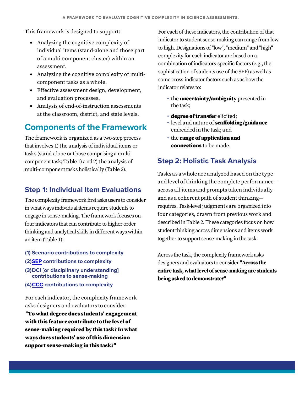This framework is designed to support:

- Analyzing the cognitive complexity of individual items (stand-alone and those part of a multi-component cluster) within an assessment.
- Analyzing the cognitive complexity of multicomponent tasks as a whole.
- Effective assessment design, development, and evaluation processes.
- Analysis of end-of-instruction assessments at the classroom, district, and state levels.

### **Components of the Framework**

The framework is organized as a two-step process that involves 1) the analysis of individual items or tasks (stand-alone or those comprising a multicomponent task; Table 1) and 2) the analysis of multi-component tasks holistically (Table 2).

### **Step 1: Individual Item Evaluations**

The complexity framework first asks users to consider in what ways individual items require students to engage in sense-making. The framework focuses on four indicators that can contribute to higher order thinking and analytical skills in different ways within an item (Table 1):

- (1) Scenario contributions to complexity
- (2) SEP contributions to complexity
- (3) DCI [or disciplinary understanding] contributions to sense-making
- (4)CCC contributions to complexity

For each indicator, the complexity framework asks designers and evaluators to consider:

"To what degree does students' engagement with this feature contribute to the level of sense-making required by this task? In what ways does students' use of this dimension support sense-making in this task?"

For each of these indicators, the contribution of that indicator to student sense-making can range from low to high. Designations of "low", "medium" and "high" complexity for each indicator are based on a combination of indicators-specific factors (e.g., the sophistication of students use of the SEP) as well as some cross-indicator factors such as as how the indicator relates to:

- the **uncertainty/ambiguity** presented in the task;
- · degree of transfer elicited:
- · level and nature of scaffolding/guidance embedded in the task; and
- the range of application and **connections** to be made.

### **Step 2: Holistic Task Analysis**

Tasks as a whole are analyzed based on the type and level of thinking the complete performanceacross all items and prompts taken individually and as a coherent path of student thinkingrequires. Task-level judgments are organized into four categories, drawn from previous work and described in Table 2. These categories focus on how student thinking across dimensions and items work together to support sense-making in the task.

Across the task, the complexity framework asks designers and evaluators to consider "Across the entire task, what level of sense-making are students being asked to demonstrate?"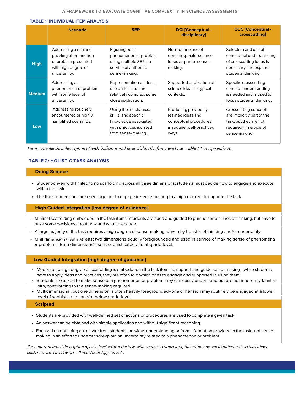#### **TABLE 1: INDIVIDUAL ITEM ANALYSIS**

|               | <b>Scenario</b>                                                                                             | <b>SEP</b>                                                                                                            | <b>DCI</b> [Conceptual -<br>disciplinary]                                                                  | <b>CCC [Conceptual -</b><br>crosscutting]                                                                                    |
|---------------|-------------------------------------------------------------------------------------------------------------|-----------------------------------------------------------------------------------------------------------------------|------------------------------------------------------------------------------------------------------------|------------------------------------------------------------------------------------------------------------------------------|
| <b>High</b>   | Addressing a rich and<br>puzzling phenomenon<br>or problem presented<br>with high-degree of<br>uncertainty. | Figuring out a<br>phenomenon or problem<br>using multiple SEPs in<br>service of authentic<br>sense-making.            | Non-routine use of<br>domain specific science<br>ideas as part of sense-<br>making.                        | Selection and use of<br>conceptual understanding<br>of crosscutting ideas is<br>necessary and expands<br>students' thinking. |
| <b>Medium</b> | Addressing a<br>phenomenon or problem<br>with some level of<br>uncertainty.                                 | Representation of ideas;<br>use of skills that are<br>relatively complex; some<br>close application.                  | Supported application of<br>science ideas in typical<br>contexts.                                          | Specific crosscutting<br>concept understanding<br>is needed and is used to<br>focus students' thinking.                      |
| Low           | Addressing routinely<br>encountered or highly<br>simplified scenarios.                                      | Using the mechanics,<br>skills, and specific<br>knowledge associated<br>with practices isolated<br>from sense-making. | Producing previously-<br>learned ideas and<br>conceptual procedures<br>in routine, well-practiced<br>ways. | Crosscutting concepts<br>are implicitly part of the<br>task, but they are not<br>required in service of<br>sense-making.     |

For a more detailed description of each indicator and level within the framework, see Table A1 in Appendix A.

#### **TABLE 2: HOLISTIC TASK ANALYSIS**

#### **Doing Science**

- Student-driven with limited to no scaffolding across all three dimensions; students must decide how to engage and execute within the task.
- The three dimensions are used together to engage in sense-making to a high degree throughout the task.

#### **High Guided Integration [low degree of guidance]**

- Minimal scaffolding embedded in the task items--students are cued and guided to pursue certain lines of thinking, but have to make some decisions about how and what to engage.
- A large majority of the task requires a high degree of sense-making, driven by transfer of thinking and/or uncertainty.
- Multidimensional with at least two dimensions equally foregrounded and used in service of making sense of phenomena or problems. Both dimensions' use is sophisticated and at grade-level.

#### Low Guided Integration [high degree of guidance]

- Moderate to high degree of scaffolding is embedded in the task items to support and guide sense-making-while students have to apply ideas and practices, they are often told which ones to engage and supported in using them.
- Students are asked to make sense of a phenomenon or problem they can easily understand but are not inherently familiar with, contributing to the sense-making required.
- · Multidimensional, but one dimension is often heavily foregrounded--one dimension may routinely be engaged at a lower level of sophistication and/or below grade-level.

**Scripted** 

- Students are provided with well-defined set of actions or procedures are used to complete a given task.
- An answer can be obtained with simple application and without significant reasoning.
- Focused on obtaining an answer from students' previous understanding or from information provided in the task, not sense making in an effort to understand/explain an uncertainty related to a phenomenon or problem.

For a more detailed description of each level within the task-wide analysis framework, including how each indicator described above contributes to each level, see Table A2 in Appendix A.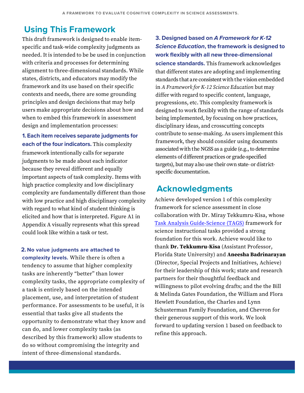### **Using This Framework**

This draft framework is designed to enable itemspecific and task-wide complexity judgments as needed. It is intended to be be used in conjunction with criteria and processes for determining alignment to three-dimensional standards. While states, districts, and educators may modify the framework and its use based on their specific contexts and needs, there are some grounding principles and design decisions that may help users make appropriate decisions about how and when to embed this framework in assessment design and implementation processes:

1. Each item receives separate judgments for each of the four indicators. This complexity framework intentionally calls for separate judgments to be made about each indicator because they reveal different and equally important aspects of task complexity. Items with high practice complexity and low disciplinary complexity are fundamentally different than those with low practice and high disciplinary complexity with regard to what kind of student thinking is elicited and how that is interpreted. Figure A1 in Appendix A visually represents what this spread could look like within a task or test.

2. No value judgments are attached to complexity levels. While there is often a tendency to assume that higher complexity tasks are inherently "better" than lower complexity tasks, the appropriate complexity of a task is entirely based on the intended placement, use, and interpretation of student performance. For assessments to be useful, it is essential that tasks give all students the opportunity to demonstrate what they know and can do, and lower complexity tasks (as described by this framework) allow students to do so without compromising the integrity and intent of three-dimensional standards.

3. Designed based on A Framework for K-12 **Science Education, the framework is designed to** work flexibly with all new three-dimensional science standards. This framework acknowledges that different states are adopting and implementing standards that are consistent with the vision embedded in A Framework for K-12 Science Education but may differ with regard to specific content, language, progressions, etc. This complexity framework is designed to work flexibly with the range of standards being implemented, by focusing on how practices, disciplinary ideas, and crosscutting concepts contribute to sense-making. As users implement this framework, they should consider using documents associated with the NGSS as a guide (e.g., to determine elements of different practices or grade-specified targets), but may also use their own state- or districtspecific documentation.

### **Acknowledgments**

Achieve developed version 1 of this complexity framework for science assessment in close collaboration with Dr. Miray Tekkumru-Kisa, whose Task Analysis Guide-Science (TAGS) framework for science instructional tasks provided a strong foundation for this work. Achieve would like to thank Dr. Tekkumru-Kisa (Assistant Professor, Florida State University) and Aneesha Badrinarayan (Director, Special Projects and Initiatives, Achieve) for their leadership of this work; state and research partners for their thoughtful feedback and willingness to pilot evolving drafts; and the the Bill & Melinda Gates Foundation, the William and Flora Hewlett Foundation, the Charles and Lynn Schusterman Family Foundation, and Chevron for their generous support of this work. We look forward to updating version 1 based on feedback to refine this approach.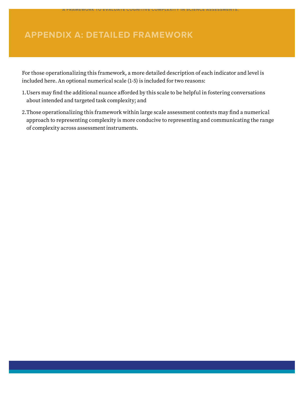## **APPENDIX A: CETAILED FRAMEWORK**

For those operationalizing this framework, a more detailed description of each indicator and level is included here. An optional numerical scale (1-5) is included for two reasons:

**A FRAMEWORK TO EVALUATE COGNITIVE COMPLEXITY IN SCIENCE ASSESSMENTS.** 

- 1.Users may fnd the additional nuance aforded by this scale to be helpful in fostering conversations about intended and targeted task complexity; and
- 2.Those operationalizing this framework within large scale assessment contexts may fnd a numerical approach to representing complexity is more conducive to representing and communicating the range of complexity across assessment instruments.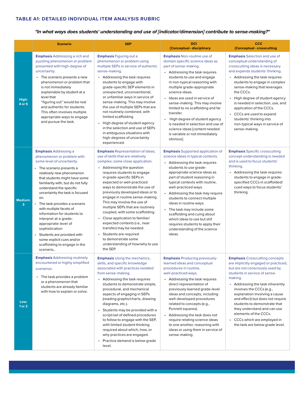"In what ways does students' understanding and use of [indicator/dimension] contribute to sense-making?"

|                    | <b>Scenario</b>                                                                                                                                                                                                                                                                                                                                                                                                                                                                                                                                                    | <b>SEP</b>                                                                                                                                                                                                                                                                                                                                                                                                                                                                                                                                                                                                                                            | <b>DCI</b><br>[Conceptual - disciplinary                                                                                                                                                                                                                                                                                                                                                                                                                                                                                                      | <b>CCC</b><br>[Conceptual - crosscutting                                                                                                                                                                                                                                                                                                                                                                                                                               |
|--------------------|--------------------------------------------------------------------------------------------------------------------------------------------------------------------------------------------------------------------------------------------------------------------------------------------------------------------------------------------------------------------------------------------------------------------------------------------------------------------------------------------------------------------------------------------------------------------|-------------------------------------------------------------------------------------------------------------------------------------------------------------------------------------------------------------------------------------------------------------------------------------------------------------------------------------------------------------------------------------------------------------------------------------------------------------------------------------------------------------------------------------------------------------------------------------------------------------------------------------------------------|-----------------------------------------------------------------------------------------------------------------------------------------------------------------------------------------------------------------------------------------------------------------------------------------------------------------------------------------------------------------------------------------------------------------------------------------------------------------------------------------------------------------------------------------------|------------------------------------------------------------------------------------------------------------------------------------------------------------------------------------------------------------------------------------------------------------------------------------------------------------------------------------------------------------------------------------------------------------------------------------------------------------------------|
| High:<br>4 or 5    | <b>Emphasis</b> Addressing a rich and<br>puzzling phenomenon or problem<br>presented with high-degree of<br>uncertainty.<br>• The scenario presents a new<br>phenomenon or problem that<br>is not immediately<br>explainable by student at a<br>level that<br>"figuring out" would be real<br>and authentic for students.<br>This often involves multiple<br>appropriate ways to engage<br>and pursue the task.                                                                                                                                                    | <b>Emphasis</b> Figuring out a<br>phenomenon or problem using<br>multiple SEPs in service of authentic<br>sense-making.<br>• Addressing the task requires<br>students to engage with<br>grade-specific SEP elements in<br>unexpected, unconventional,<br>or unfamiliar ways in service of<br>sense-making. This may involve<br>the use of multiple SEPs that are<br>not routinely combined, with<br>limited scaffolding.<br>High degree of student agency<br>in the selection and use of SEPs<br>in ambiguous situations with<br>high-degrees of uncertainty<br>experienced.                                                                          | <b>Emphasis Non-routine use of</b><br>domain specific science ideas as<br>part of sense-making.<br>• Addressing the task requires<br>students to use and engage<br>in non-typical reasoning with<br>multiple grade-appropriate<br>science ideas.<br>· Ideas are used in service of<br>sense-making. This may involve<br>limited to no scaffolding and far<br>transfer.<br>High degree of student agency<br>$\bullet$<br>is needed in selection and use of<br>science ideas [content needed<br>is variable or not immediately<br>obvious].     | <b>Emphasis</b> Selection and use of<br>conceptual understanding of<br>crosscutting ideas is necessary<br>and expands students' thinking.<br>• Addressing the task requires<br>students to engage in complex<br>sense-making that leverages<br>the CCCs.<br>• High degree of student agency<br>is needed in selection, use, and<br>application of the CCCs.<br>• CCCs are used to expand<br>students' thinking into<br>non-typical ways in service of<br>sense-making. |
| Medium:<br>3       | <b>Emphasis Addressing a</b><br>phenomenon or problem with<br>some level of uncertainty.<br>The scenario presents a<br>relatively new phenomenon<br>that students might have some<br>familiarity with, but do not fully<br>understand the specific<br>uncertainty the task is focused<br>on.<br>The task provides a scenario<br>with multiple facets of<br>information for students to<br>interpret at a grade-<br>appropriate level of<br>sophistication<br>Students are provided with<br>some explicit cues and/or<br>scaffolding to engage in the<br>scenario,. | <b>Emphasis Representation of ideas;</b><br>use of skills that are relatively<br>complex; some close application.<br>• Addressing the question<br>requires students to engage<br>in grade-specific SEPs in<br>expected or well-practiced<br>ways to demonstrate the use of<br>previously developed ideas or to<br>engage in routine sense-making.<br>This may involve the use of<br>multiple SEPs that are routinely<br>coupled, with some scaffolding.<br>Close application to familiar/<br>expected contexts (i.e., near<br>transfer) may be needed.<br>Students are required<br>to demonstrate some<br>understanding of how/why to use<br>the SEP. | <b>Emphasis</b> Supported application of<br>science ideas in typical contexts.<br>• Addressing the task requires<br>students to use grade-<br>appropriate science ideas as<br>part of student reasoning in<br>typical contexts with routine,<br>well-practiced ways.<br>• Addressing the task may require<br>students to connect multiple<br>ideas in routine ways.<br>The task may include some<br>scaffolding and cuing about<br>which ideas to use but still<br>requires students to apply their<br>understanding of the science<br>ideas. | <b>Emphasis Specific crosscutting</b><br>concept understanding is needed<br>and is used to focus students'<br>thinking.<br>• Addressing the task requires<br>students to engage in grade-<br>specified CCCs in scaffolded/<br>cued ways to focus students'<br>thinking.                                                                                                                                                                                                |
| Low:<br>$1$ or $2$ | <b>Emphasis</b> Addressing routinely<br>encountered or highly simplified<br>scenarios.<br>• The task provides a problem<br>or a phenomenon that<br>students are already familiar<br>with how to explain or solve.                                                                                                                                                                                                                                                                                                                                                  | <b>Emphasis Using the mechanics,</b><br>skills, and specific knowledge<br>associated with practices isolated<br>from sense-making.<br>• Addressing the task requires<br>students to demonstrate simple,<br>procedural, and mechanical<br>aspects of engaging in SEPs<br>(reading graphs/charts, drawing<br>diagrams, etc.).<br>• Students may be provided with a<br>script/set of defined procedures<br>to follow to engage with the SEP,<br>with limited student thinking<br>required about which, how, or<br>why practices are engaged.<br>Practice demand is below grade<br>level.                                                                 | <b>Emphasis Producing previously-</b><br>learned ideas and conceptual<br>procedures in routine,<br>well-practiced ways.<br>• Addressing the task requires<br>direct representation of<br>previously learned grade-level<br>ideas and concepts, including<br>well-developed procedures<br>related to concepts (e.g.,<br>Punnett squares).<br>• Addressing the task does not<br>require relating science ideas<br>to one another, reasoning with<br>ideas or using them in service of<br>sense-making.                                          | <b>Emphasis Crosscutting concepts</b><br>are implicitly engaged or practiced,<br>but are not consciously used by<br>students in service of sense-<br>making.<br>• Addressing the task inherently<br>involves the CCCs (e.g.,<br>explanation involving a cause<br>and effect) but does not require<br>students to demonstrate that<br>they understand and can use<br>elements of the CCCs.<br>• CCCs which are employed in<br>the task are below grade level.           |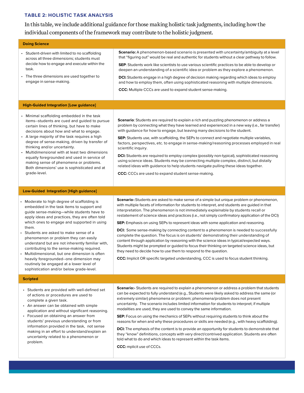#### **TABLE 2: HOLISTIC TASK ANALYSIS**

In this table, we include additional guidance for those making holistic task judgments, including how the individual components of the framework may contribute to the holistic judgment.

| <b>Doing Science</b>                                                                                                                                                                                                                                                                                                                                                                                                                                                                                                                                                                                                 |                                                                                                                                                                                                                                                                                                                                                                                                                                                                                                                                                                                                                                                                                                                                                                                                                                                                                                                                                                                                                                                   |  |  |  |  |  |
|----------------------------------------------------------------------------------------------------------------------------------------------------------------------------------------------------------------------------------------------------------------------------------------------------------------------------------------------------------------------------------------------------------------------------------------------------------------------------------------------------------------------------------------------------------------------------------------------------------------------|---------------------------------------------------------------------------------------------------------------------------------------------------------------------------------------------------------------------------------------------------------------------------------------------------------------------------------------------------------------------------------------------------------------------------------------------------------------------------------------------------------------------------------------------------------------------------------------------------------------------------------------------------------------------------------------------------------------------------------------------------------------------------------------------------------------------------------------------------------------------------------------------------------------------------------------------------------------------------------------------------------------------------------------------------|--|--|--|--|--|
| • Student-driven with limited to no scaffolding<br>across all three dimensions; students must<br>decide how to engage and execute within the<br>task.<br>• The three dimensions are used together to<br>engage in sense-making.                                                                                                                                                                                                                                                                                                                                                                                      | Scenario: A phenomenon-based scenario is presented with uncertainty/ambiguity at a level<br>that "figuring out" would be real and authentic for students without a clear pathway to follow.<br>SEP: Students work like scientists to use various scientific practices to be able to develop or<br>deepen an understanding of a scientific idea or problem as they explore a phenomenon.<br><b>DCI:</b> Students engage in a high degree of decision making regarding which ideas to employ<br>and how to employ them, often using sophisticated reasoning with multiple dimensions.<br><b>CCC:</b> Multiple CCCs are used to expand student sense-making.                                                                                                                                                                                                                                                                                                                                                                                         |  |  |  |  |  |
| <b>High-Guided Integration [Low guidance]</b>                                                                                                                                                                                                                                                                                                                                                                                                                                                                                                                                                                        |                                                                                                                                                                                                                                                                                                                                                                                                                                                                                                                                                                                                                                                                                                                                                                                                                                                                                                                                                                                                                                                   |  |  |  |  |  |
| • Minimal scaffolding embedded in the task<br>items--students are cued and guided to pursue<br>certain lines of thinking, but have to make<br>decisions about how and what to engage.<br>• A large majority of the task requires a high<br>degree of sense-making, driven by transfer of<br>thinking and/or uncertainty.<br>Multidimensional with at least two dimensions<br>equally foregrounded and used in service of<br>making sense of phenomena or problems.<br>Both dimensions' use is sophisticated and at<br>grade-level.                                                                                   | <b>Scenario:</b> Students are required to explain a rich and puzzling phenomenon or address a<br>problem by connecting what they have learned and experienced in a new way (i.e., far transfer)<br>with guidance for how to engage, but leaving many decisions to the student.<br><b>SEP:</b> Students use, with scaffolding, the SEPs to connect and negotiate multiple variables,<br>factors, perspectives, etc. to engage in sense-making/reasoning processes employed in real<br>scientific inquiry.<br><b>DCI:</b> Students are required to employ complex (possibly non-typical), sophisticated reasoning<br>using science ideas. Students may be connecting multiple complex, distinct, but distally<br>related ideas with guidance to help students navigate pulling these ideas together.<br><b>CCC:</b> CCCs are used to expand student sense-making.                                                                                                                                                                                   |  |  |  |  |  |
| <b>Low-Guided Integration [High guidance]</b>                                                                                                                                                                                                                                                                                                                                                                                                                                                                                                                                                                        |                                                                                                                                                                                                                                                                                                                                                                                                                                                                                                                                                                                                                                                                                                                                                                                                                                                                                                                                                                                                                                                   |  |  |  |  |  |
| Moderate to high degree of scaffolding is<br>embedded in the task items to support and<br>guide sense-making-while students have to<br>apply ideas and practices, they are often told<br>which ones to engage and supported in using<br>them.<br>Students are asked to make sense of a<br>phenomenon or problem they can easily<br>understand but are not inherently familiar with,<br>contributing to the sense-making required.<br>Multidimensional, but one dimension is often<br>heavily foregrounded--one dimension may<br>routinely be engaged at a lower level of<br>sophistication and/or below grade-level. | <b>Scenario</b> : Students are asked to make sense of a simple but unique problem or phenomenon,<br>with multiple facets of information for students to interpret, and students are guided in that<br>interpretation. The phenomenon is not immediately explainable by students recall or<br>restatement of science ideas and practices (i.e., not simply confirmatory application of the DCI)<br><b>SEP:</b> Emphasis on using SEPs to represent ideas with some application and reasoning.<br><b>DCI:</b> Some sense-making by connecting content to a phenomenon is needed to successfully<br>complete the question. The focus is on students' demonstrating their understanding of<br>content through application by reasoning with the science ideas in typical/expected ways.<br>Students might be prompted or guided to focus their thinking on targeted science ideas, but<br>they need to decide how to use them to respond to the question.<br>CCC: Implicit OR specific targeted understanding, CCC is used to focus student thinking. |  |  |  |  |  |
| <b>Scripted</b>                                                                                                                                                                                                                                                                                                                                                                                                                                                                                                                                                                                                      |                                                                                                                                                                                                                                                                                                                                                                                                                                                                                                                                                                                                                                                                                                                                                                                                                                                                                                                                                                                                                                                   |  |  |  |  |  |
| • Students are provided with well-defined set<br>of actions or procedures are used to<br>complete a given task.<br>• An answer can be obtained with simple<br>application and without significant reasoning.<br>Focused on obtaining an answer from<br>students' previous understanding or from<br>information provided in the task, not sense<br>making in an effort to understand/explain an<br>uncertainty related to a phenomenon or<br>problem.                                                                                                                                                                 | <b>Scenario:</b> Students are required to explain a phenomenon or address a problem that students<br>can be expected to fully understand (e.g., Students were likely asked to address the same (or<br>extremely similar) phenomena or problem; phenomena/problem does not present<br>uncertainty. The scenario includes limited information for students to interpret; if multiple<br>modalities are used, they are used to convey the same information.<br><b>SEP:</b> Focus on using the mechanics of SEPs without requiring students to think about the<br>reasons for when and why these procedures or skills are needed (e.g., with heavy scaffolding).<br>DCI: The emphasis of the content is to provide an opportunity for students to demonstrate that<br>they "know" definitions, concepts with very direct/contrived application. Students are often<br>told what to do and which ideas to represent within the task items.                                                                                                             |  |  |  |  |  |

CCC: mplicit use of CCCs.